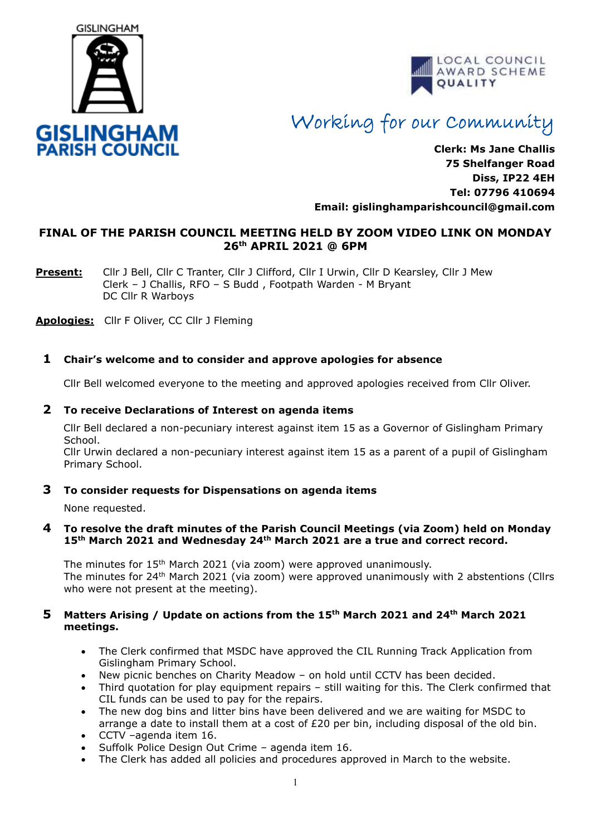



# Working for our Community

**Clerk: Ms Jane Challis 75 Shelfanger Road Diss, IP22 4EH Tel: 07796 410694 Email: [gislinghamparishcouncil@gmail.com](mailto:gislinghamparishcouncil@gmail.com)**

# **FINAL OF THE PARISH COUNCIL MEETING HELD BY ZOOM VIDEO LINK ON MONDAY 26th APRIL 2021 @ 6PM**

**Present:** Cllr J Bell, Cllr C Tranter, Cllr J Clifford, Cllr I Urwin, Cllr D Kearsley, Cllr J Mew Clerk – J Challis, RFO – S Budd , Footpath Warden - M Bryant DC Cllr R Warboys

**Apologies:** Cllr F Oliver, CC Cllr J Fleming

# **1 Chair's welcome and to consider and approve apologies for absence**

Cllr Bell welcomed everyone to the meeting and approved apologies received from Cllr Oliver.

#### **2 To receive Declarations of Interest on agenda items**

 Cllr Bell declared a non-pecuniary interest against item 15 as a Governor of Gislingham Primary School.

 Cllr Urwin declared a non-pecuniary interest against item 15 as a parent of a pupil of Gislingham Primary School.

#### **3 To consider requests for Dispensations on agenda items**

None requested.

#### **4 To resolve the draft minutes of the Parish Council Meetings (via Zoom) held on Monday 15th March 2021 and Wednesday 24th March 2021 are a true and correct record.**

The minutes for 15<sup>th</sup> March 2021 (via zoom) were approved unanimously. The minutes for  $24<sup>th</sup>$  March 2021 (via zoom) were approved unanimously with 2 abstentions (Cllrs who were not present at the meeting).

## **5 Matters Arising / Update on actions from the 15th March 2021 and 24th March 2021 meetings.**

- The Clerk confirmed that MSDC have approved the CIL Running Track Application from Gislingham Primary School.
- New picnic benches on Charity Meadow on hold until CCTV has been decided.
- Third quotation for play equipment repairs still waiting for this. The Clerk confirmed that CIL funds can be used to pay for the repairs.
- The new dog bins and litter bins have been delivered and we are waiting for MSDC to arrange a date to install them at a cost of £20 per bin, including disposal of the old bin.
- CCTV –agenda item 16.
- Suffolk Police Design Out Crime agenda item 16.
- The Clerk has added all policies and procedures approved in March to the website.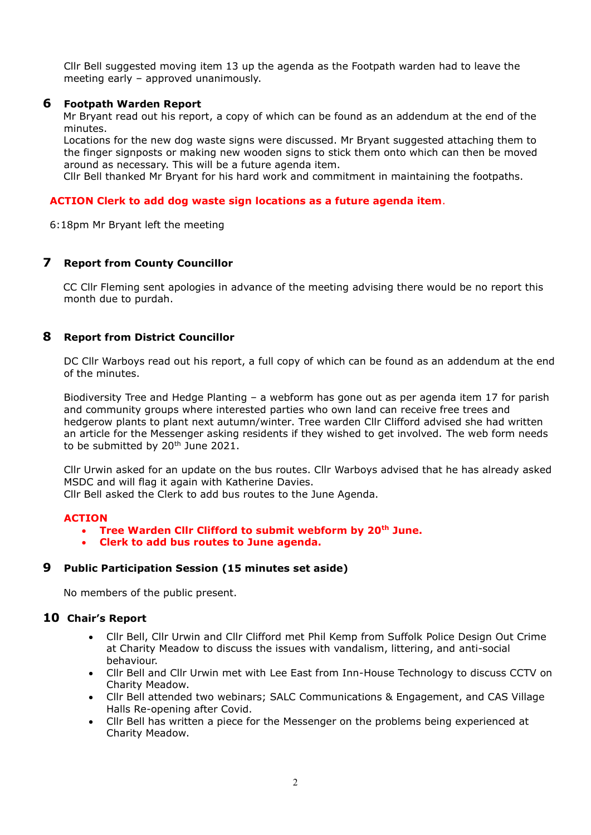Cllr Bell suggested moving item 13 up the agenda as the Footpath warden had to leave the meeting early – approved unanimously.

## **6 Footpath Warden Report**

Mr Bryant read out his report, a copy of which can be found as an addendum at the end of the minutes.

 Locations for the new dog waste signs were discussed. Mr Bryant suggested attaching them to the finger signposts or making new wooden signs to stick them onto which can then be moved around as necessary. This will be a future agenda item.

Cllr Bell thanked Mr Bryant for his hard work and commitment in maintaining the footpaths.

## **ACTION Clerk to add dog waste sign locations as a future agenda item**.

6:18pm Mr Bryant left the meeting

# **7 Report from County Councillor**

CC Cllr Fleming sent apologies in advance of the meeting advising there would be no report this month due to purdah.

## **8 Report from District Councillor**

DC Cllr Warboys read out his report, a full copy of which can be found as an addendum at the end of the minutes.

Biodiversity Tree and Hedge Planting – a webform has gone out as per agenda item 17 for parish and community groups where interested parties who own land can receive free trees and hedgerow plants to plant next autumn/winter. Tree warden Cllr Clifford advised she had written an article for the Messenger asking residents if they wished to get involved. The web form needs to be submitted by 20<sup>th</sup> June 2021.

Cllr Urwin asked for an update on the bus routes. Cllr Warboys advised that he has already asked MSDC and will flag it again with Katherine Davies.

Cllr Bell asked the Clerk to add bus routes to the June Agenda.

#### **ACTION**

- **Tree Warden Cllr Clifford to submit webform by 20th June.**
- **Clerk to add bus routes to June agenda.**

#### **9 Public Participation Session (15 minutes set aside)**

No members of the public present.

#### **10 Chair's Report**

- Cllr Bell, Cllr Urwin and Cllr Clifford met Phil Kemp from Suffolk Police Design Out Crime at Charity Meadow to discuss the issues with vandalism, littering, and anti-social behaviour.
- Cllr Bell and Cllr Urwin met with Lee East from Inn-House Technology to discuss CCTV on Charity Meadow.
- Cllr Bell attended two webinars; SALC Communications & Engagement, and CAS Village Halls Re-opening after Covid.
- Cllr Bell has written a piece for the Messenger on the problems being experienced at Charity Meadow.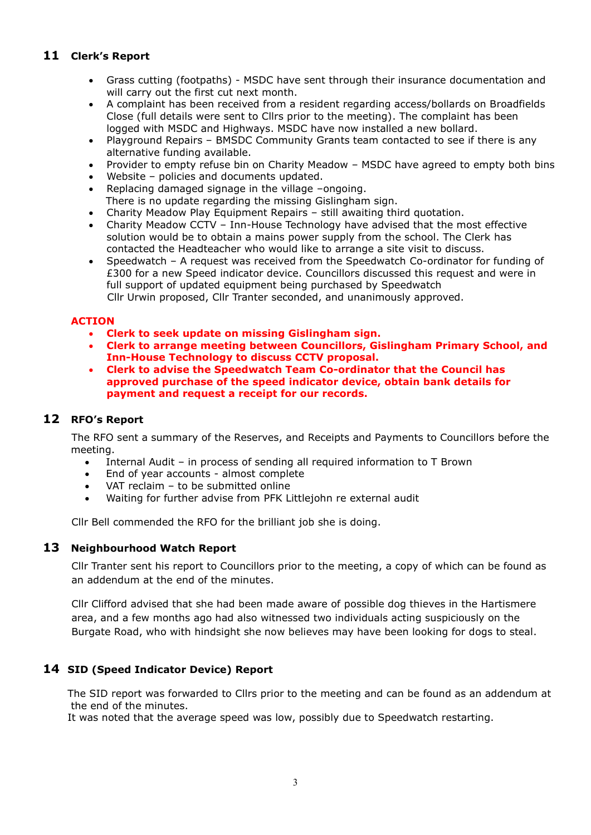# **11 Clerk's Report**

- Grass cutting (footpaths) MSDC have sent through their insurance documentation and will carry out the first cut next month.
- A complaint has been received from a resident regarding access/bollards on Broadfields Close (full details were sent to Cllrs prior to the meeting). The complaint has been logged with MSDC and Highways. MSDC have now installed a new bollard.
- Playground Repairs BMSDC Community Grants team contacted to see if there is any alternative funding available.
- Provider to empty refuse bin on Charity Meadow MSDC have agreed to empty both bins
- Website policies and documents updated.
- Replacing damaged signage in the village –ongoing.
- There is no update regarding the missing Gislingham sign.
- Charity Meadow Play Equipment Repairs still awaiting third quotation.
- Charity Meadow CCTV Inn-House Technology have advised that the most effective solution would be to obtain a mains power supply from the school. The Clerk has contacted the Headteacher who would like to arrange a site visit to discuss.
- Speedwatch A request was received from the Speedwatch Co-ordinator for funding of £300 for a new Speed indicator device. Councillors discussed this request and were in full support of updated equipment being purchased by Speedwatch Cllr Urwin proposed, Cllr Tranter seconded, and unanimously approved.

# **ACTION**

- **Clerk to seek update on missing Gislingham sign.**
- **Clerk to arrange meeting between Councillors, Gislingham Primary School, and Inn-House Technology to discuss CCTV proposal.**
- **Clerk to advise the Speedwatch Team Co-ordinator that the Council has approved purchase of the speed indicator device, obtain bank details for payment and request a receipt for our records.**

# **12 RFO's Report**

The RFO sent a summary of the Reserves, and Receipts and Payments to Councillors before the meeting.

- Internal Audit in process of sending all required information to T Brown
- End of year accounts almost complete
- VAT reclaim to be submitted online
- Waiting for further advise from PFK Littlejohn re external audit

Cllr Bell commended the RFO for the brilliant job she is doing.

# **13 Neighbourhood Watch Report**

Cllr Tranter sent his report to Councillors prior to the meeting, a copy of which can be found as an addendum at the end of the minutes.

Cllr Clifford advised that she had been made aware of possible dog thieves in the Hartismere area, and a few months ago had also witnessed two individuals acting suspiciously on the Burgate Road, who with hindsight she now believes may have been looking for dogs to steal.

# **14 SID (Speed Indicator Device) Report**

The SID report was forwarded to Cllrs prior to the meeting and can be found as an addendum at the end of the minutes.

It was noted that the average speed was low, possibly due to Speedwatch restarting.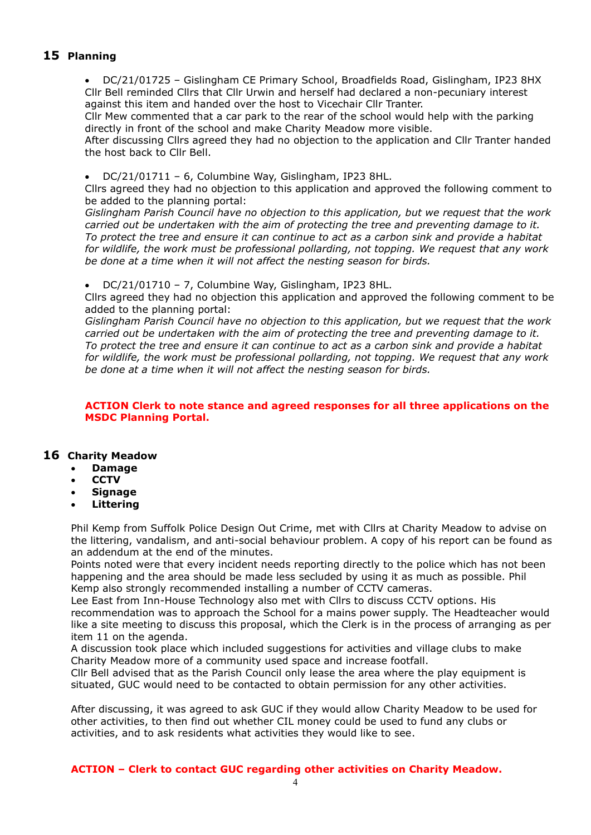# **15 Planning**

• DC/21/01725 – Gislingham CE Primary School, Broadfields Road, Gislingham, IP23 8HX Cllr Bell reminded Cllrs that Cllr Urwin and herself had declared a non-pecuniary interest against this item and handed over the host to Vicechair Cllr Tranter.

Cllr Mew commented that a car park to the rear of the school would help with the parking directly in front of the school and make Charity Meadow more visible.

After discussing Cllrs agreed they had no objection to the application and Cllr Tranter handed the host back to Cllr Bell.

#### • DC/21/01711 – 6, Columbine Way, Gislingham, IP23 8HL.

Cllrs agreed they had no objection to this application and approved the following comment to be added to the planning portal:

*Gislingham Parish Council have no objection to this application, but we request that the work carried out be undertaken with the aim of protecting the tree and preventing damage to it. To protect the tree and ensure it can continue to act as a carbon sink and provide a habitat for wildlife, the work must be professional pollarding, not topping. We request that any work be done at a time when it will not affect the nesting season for birds.*

• DC/21/01710 – 7, Columbine Way, Gislingham, IP23 8HL.

Cllrs agreed they had no objection this application and approved the following comment to be added to the planning portal:

*Gislingham Parish Council have no objection to this application, but we request that the work carried out be undertaken with the aim of protecting the tree and preventing damage to it. To protect the tree and ensure it can continue to act as a carbon sink and provide a habitat for wildlife, the work must be professional pollarding, not topping. We request that any work be done at a time when it will not affect the nesting season for birds.*

## **ACTION Clerk to note stance and agreed responses for all three applications on the MSDC Planning Portal.**

# **16 Charity Meadow**

- **Damage**
- **CCTV**
- **Signage**
- **Littering**

Phil Kemp from Suffolk Police Design Out Crime, met with Cllrs at Charity Meadow to advise on the littering, vandalism, and anti-social behaviour problem. A copy of his report can be found as an addendum at the end of the minutes.

Points noted were that every incident needs reporting directly to the police which has not been happening and the area should be made less secluded by using it as much as possible. Phil Kemp also strongly recommended installing a number of CCTV cameras.

Lee East from Inn-House Technology also met with Cllrs to discuss CCTV options. His recommendation was to approach the School for a mains power supply. The Headteacher would like a site meeting to discuss this proposal, which the Clerk is in the process of arranging as per item 11 on the agenda.

A discussion took place which included suggestions for activities and village clubs to make Charity Meadow more of a community used space and increase footfall.

Cllr Bell advised that as the Parish Council only lease the area where the play equipment is situated, GUC would need to be contacted to obtain permission for any other activities.

After discussing, it was agreed to ask GUC if they would allow Charity Meadow to be used for other activities, to then find out whether CIL money could be used to fund any clubs or activities, and to ask residents what activities they would like to see.

**ACTION – Clerk to contact GUC regarding other activities on Charity Meadow.**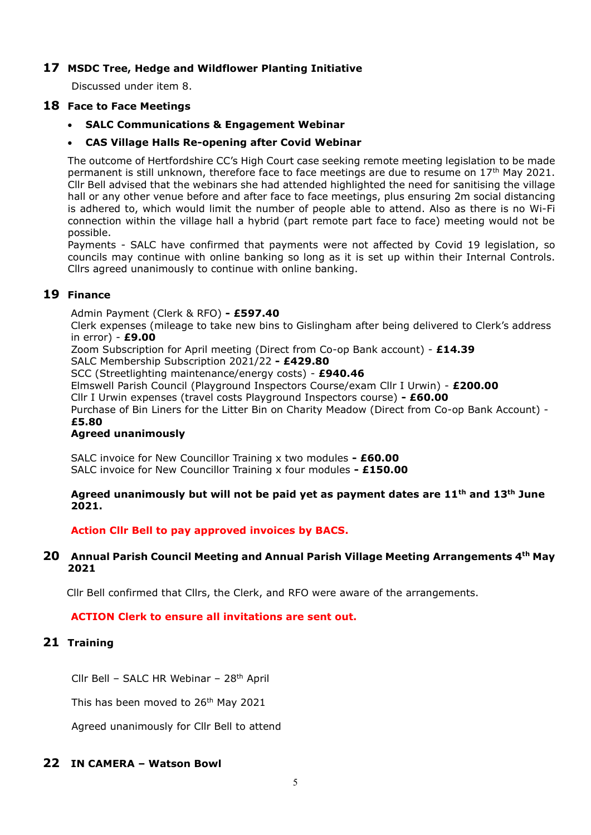# **17 MSDC Tree, Hedge and Wildflower Planting Initiative**

Discussed under item 8.

# **18 Face to Face Meetings**

• **SALC Communications & Engagement Webinar**

## • **CAS Village Halls Re-opening after Covid Webinar**

The outcome of Hertfordshire CC's High Court case seeking remote meeting legislation to be made permanent is still unknown, therefore face to face meetings are due to resume on 17th May 2021. Cllr Bell advised that the webinars she had attended highlighted the need for sanitising the village hall or any other venue before and after face to face meetings, plus ensuring 2m social distancing is adhered to, which would limit the number of people able to attend. Also as there is no Wi-Fi connection within the village hall a hybrid (part remote part face to face) meeting would not be possible.

Payments - SALC have confirmed that payments were not affected by Covid 19 legislation, so councils may continue with online banking so long as it is set up within their Internal Controls. Cllrs agreed unanimously to continue with online banking.

# **19 Finance**

Admin Payment (Clerk & RFO) **- £597.40**

Clerk expenses (mileage to take new bins to Gislingham after being delivered to Clerk's address in error) - **£9.00**

Zoom Subscription for April meeting (Direct from Co-op Bank account) - **£14.39**

SALC Membership Subscription 2021/22 **- £429.80**

SCC (Streetlighting maintenance/energy costs) - **£940.46**

Elmswell Parish Council (Playground Inspectors Course/exam Cllr I Urwin) - **£200.00**

Cllr I Urwin expenses (travel costs Playground Inspectors course) **- £60.00**

Purchase of Bin Liners for the Litter Bin on Charity Meadow (Direct from Co-op Bank Account) - **£5.80**

#### **Agreed unanimously**

SALC invoice for New Councillor Training x two modules **- £60.00** SALC invoice for New Councillor Training x four modules **- £150.00**

## **Agreed unanimously but will not be paid yet as payment dates are 11th and 13th June 2021.**

**Action Cllr Bell to pay approved invoices by BACS.**

## **20 Annual Parish Council Meeting and Annual Parish Village Meeting Arrangements 4th May 2021**

Cllr Bell confirmed that Cllrs, the Clerk, and RFO were aware of the arrangements.

# **ACTION Clerk to ensure all invitations are sent out.**

# **21 Training**

Cllr Bell – SALC HR Webinar – 28th April

This has been moved to 26<sup>th</sup> May 2021

Agreed unanimously for Cllr Bell to attend

# **22 IN CAMERA – Watson Bowl**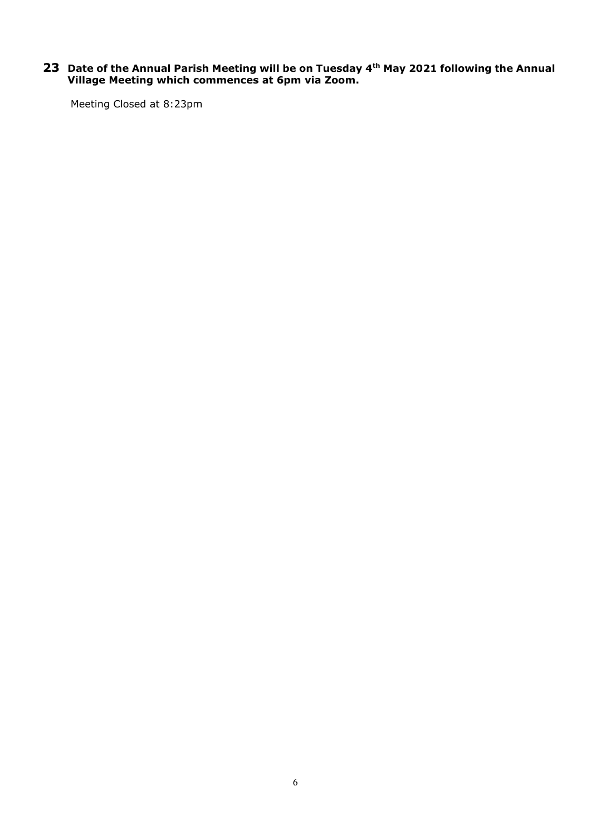#### **23 Date of the Annual Parish Meeting will be on Tuesday 4th May 2021 following the Annual Village Meeting which commences at 6pm via Zoom.**

Meeting Closed at 8:23pm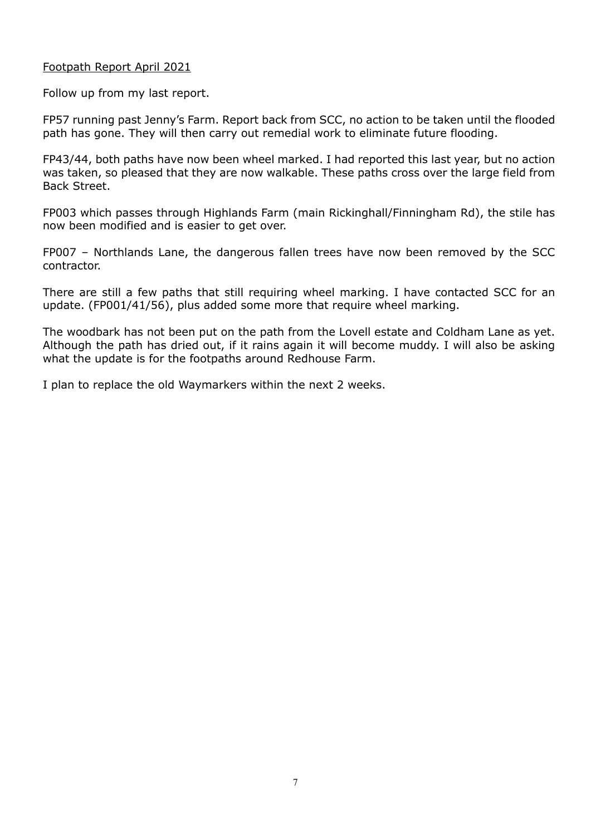# Footpath Report April 2021

Follow up from my last report.

FP57 running past Jenny's Farm. Report back from SCC, no action to be taken until the flooded path has gone. They will then carry out remedial work to eliminate future flooding.

FP43/44, both paths have now been wheel marked. I had reported this last year, but no action was taken, so pleased that they are now walkable. These paths cross over the large field from Back Street.

FP003 which passes through Highlands Farm (main Rickinghall/Finningham Rd), the stile has now been modified and is easier to get over.

FP007 – Northlands Lane, the dangerous fallen trees have now been removed by the SCC contractor.

There are still a few paths that still requiring wheel marking. I have contacted SCC for an update. (FP001/41/56), plus added some more that require wheel marking.

The woodbark has not been put on the path from the Lovell estate and Coldham Lane as yet. Although the path has dried out, if it rains again it will become muddy. I will also be asking what the update is for the footpaths around Redhouse Farm.

I plan to replace the old Waymarkers within the next 2 weeks.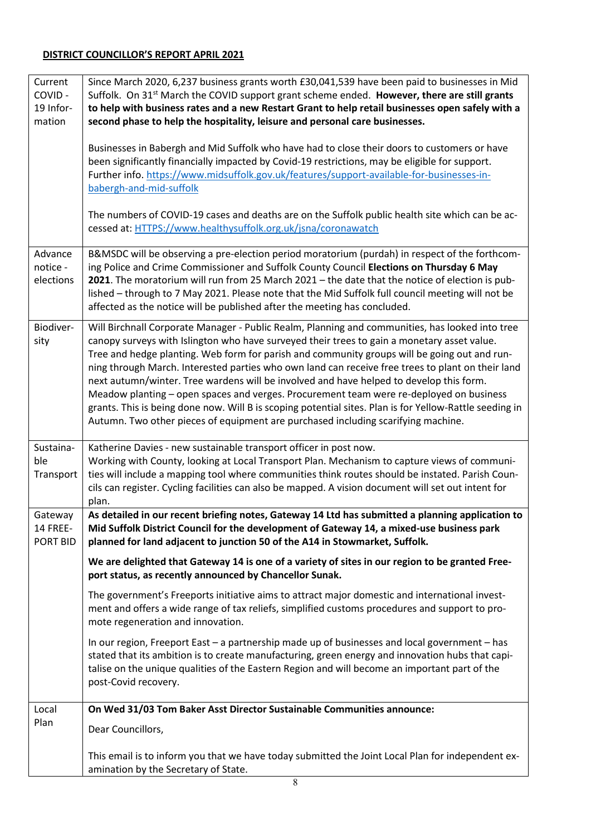# **DISTRICT COUNCILLOR'S REPORT APRIL 2021**

| Current<br>COVID-<br>19 Infor-<br>mation | Since March 2020, 6,237 business grants worth £30,041,539 have been paid to businesses in Mid<br>Suffolk. On 31 <sup>st</sup> March the COVID support grant scheme ended. However, there are still grants<br>to help with business rates and a new Restart Grant to help retail businesses open safely with a<br>second phase to help the hospitality, leisure and personal care businesses.<br>Businesses in Babergh and Mid Suffolk who have had to close their doors to customers or have<br>been significantly financially impacted by Covid-19 restrictions, may be eligible for support.                                                                                                                                                                                            |
|------------------------------------------|-------------------------------------------------------------------------------------------------------------------------------------------------------------------------------------------------------------------------------------------------------------------------------------------------------------------------------------------------------------------------------------------------------------------------------------------------------------------------------------------------------------------------------------------------------------------------------------------------------------------------------------------------------------------------------------------------------------------------------------------------------------------------------------------|
|                                          | Further info. https://www.midsuffolk.gov.uk/features/support-available-for-businesses-in-<br>babergh-and-mid-suffolk<br>The numbers of COVID-19 cases and deaths are on the Suffolk public health site which can be ac-<br>cessed at: HTTPS://www.healthysuffolk.org.uk/jsna/coronawatch                                                                                                                                                                                                                                                                                                                                                                                                                                                                                                  |
|                                          |                                                                                                                                                                                                                                                                                                                                                                                                                                                                                                                                                                                                                                                                                                                                                                                           |
| Advance<br>notice -<br>elections         | B&MSDC will be observing a pre-election period moratorium (purdah) in respect of the forthcom-<br>ing Police and Crime Commissioner and Suffolk County Council Elections on Thursday 6 May<br>2021. The moratorium will run from 25 March 2021 - the date that the notice of election is pub-<br>lished - through to 7 May 2021. Please note that the Mid Suffolk full council meeting will not be<br>affected as the notice will be published after the meeting has concluded.                                                                                                                                                                                                                                                                                                           |
| Biodiver-<br>sity                        | Will Birchnall Corporate Manager - Public Realm, Planning and communities, has looked into tree<br>canopy surveys with Islington who have surveyed their trees to gain a monetary asset value.<br>Tree and hedge planting. Web form for parish and community groups will be going out and run-<br>ning through March. Interested parties who own land can receive free trees to plant on their land<br>next autumn/winter. Tree wardens will be involved and have helped to develop this form.<br>Meadow planting - open spaces and verges. Procurement team were re-deployed on business<br>grants. This is being done now. Will B is scoping potential sites. Plan is for Yellow-Rattle seeding in<br>Autumn. Two other pieces of equipment are purchased including scarifying machine. |
| Sustaina-<br>ble<br>Transport            | Katherine Davies - new sustainable transport officer in post now.<br>Working with County, looking at Local Transport Plan. Mechanism to capture views of communi-<br>ties will include a mapping tool where communities think routes should be instated. Parish Coun-<br>cils can register. Cycling facilities can also be mapped. A vision document will set out intent for<br>plan.                                                                                                                                                                                                                                                                                                                                                                                                     |
| Gateway<br><b>14 FREE-</b><br>PORT BID   | As detailed in our recent briefing notes, Gateway 14 Ltd has submitted a planning application to<br>Mid Suffolk District Council for the development of Gateway 14, a mixed-use business park<br>planned for land adjacent to junction 50 of the A14 in Stowmarket, Suffolk.                                                                                                                                                                                                                                                                                                                                                                                                                                                                                                              |
|                                          | We are delighted that Gateway 14 is one of a variety of sites in our region to be granted Free-<br>port status, as recently announced by Chancellor Sunak.                                                                                                                                                                                                                                                                                                                                                                                                                                                                                                                                                                                                                                |
|                                          | The government's Freeports initiative aims to attract major domestic and international invest-<br>ment and offers a wide range of tax reliefs, simplified customs procedures and support to pro-<br>mote regeneration and innovation.                                                                                                                                                                                                                                                                                                                                                                                                                                                                                                                                                     |
|                                          | In our region, Freeport East - a partnership made up of businesses and local government - has<br>stated that its ambition is to create manufacturing, green energy and innovation hubs that capi-<br>talise on the unique qualities of the Eastern Region and will become an important part of the<br>post-Covid recovery.                                                                                                                                                                                                                                                                                                                                                                                                                                                                |
| Local<br>Plan                            | On Wed 31/03 Tom Baker Asst Director Sustainable Communities announce:                                                                                                                                                                                                                                                                                                                                                                                                                                                                                                                                                                                                                                                                                                                    |
|                                          | Dear Councillors,                                                                                                                                                                                                                                                                                                                                                                                                                                                                                                                                                                                                                                                                                                                                                                         |
|                                          | This email is to inform you that we have today submitted the Joint Local Plan for independent ex-<br>amination by the Secretary of State.                                                                                                                                                                                                                                                                                                                                                                                                                                                                                                                                                                                                                                                 |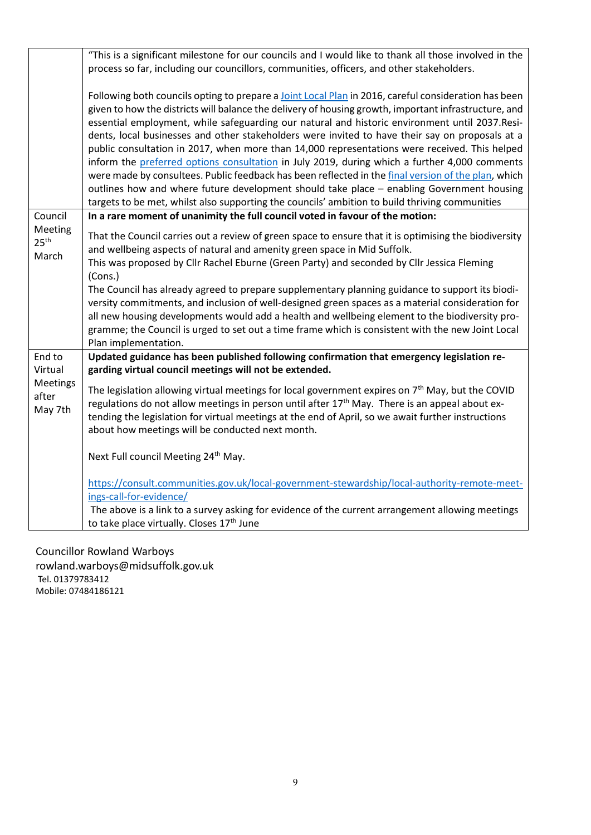|                                                   | "This is a significant milestone for our councils and I would like to thank all those involved in the<br>process so far, including our councillors, communities, officers, and other stakeholders.                                                                                                                                                                                                                                                                                                                                                                                                                                                                                                                                                                                                                                                                                                                         |
|---------------------------------------------------|----------------------------------------------------------------------------------------------------------------------------------------------------------------------------------------------------------------------------------------------------------------------------------------------------------------------------------------------------------------------------------------------------------------------------------------------------------------------------------------------------------------------------------------------------------------------------------------------------------------------------------------------------------------------------------------------------------------------------------------------------------------------------------------------------------------------------------------------------------------------------------------------------------------------------|
|                                                   | Following both councils opting to prepare a Joint Local Plan in 2016, careful consideration has been<br>given to how the districts will balance the delivery of housing growth, important infrastructure, and<br>essential employment, while safeguarding our natural and historic environment until 2037.Resi-<br>dents, local businesses and other stakeholders were invited to have their say on proposals at a<br>public consultation in 2017, when more than 14,000 representations were received. This helped<br>inform the preferred options consultation in July 2019, during which a further 4,000 comments<br>were made by consultees. Public feedback has been reflected in the final version of the plan, which<br>outlines how and where future development should take place - enabling Government housing<br>targets to be met, whilst also supporting the councils' ambition to build thriving communities |
| Council                                           | In a rare moment of unanimity the full council voted in favour of the motion:                                                                                                                                                                                                                                                                                                                                                                                                                                                                                                                                                                                                                                                                                                                                                                                                                                              |
| Meeting<br>25 <sup>th</sup><br>March              | That the Council carries out a review of green space to ensure that it is optimising the biodiversity<br>and wellbeing aspects of natural and amenity green space in Mid Suffolk.<br>This was proposed by Cllr Rachel Eburne (Green Party) and seconded by Cllr Jessica Fleming<br>(Cons.)<br>The Council has already agreed to prepare supplementary planning guidance to support its biodi-<br>versity commitments, and inclusion of well-designed green spaces as a material consideration for<br>all new housing developments would add a health and wellbeing element to the biodiversity pro-<br>gramme; the Council is urged to set out a time frame which is consistent with the new Joint Local<br>Plan implementation.                                                                                                                                                                                           |
| End to<br>Virtual<br>Meetings<br>after<br>May 7th | Updated guidance has been published following confirmation that emergency legislation re-<br>garding virtual council meetings will not be extended.                                                                                                                                                                                                                                                                                                                                                                                                                                                                                                                                                                                                                                                                                                                                                                        |
|                                                   | The legislation allowing virtual meetings for local government expires on 7 <sup>th</sup> May, but the COVID<br>regulations do not allow meetings in person until after 17 <sup>th</sup> May. There is an appeal about ex-<br>tending the legislation for virtual meetings at the end of April, so we await further instructions<br>about how meetings will be conducted next month.                                                                                                                                                                                                                                                                                                                                                                                                                                                                                                                                       |
|                                                   | Next Full council Meeting 24th May.                                                                                                                                                                                                                                                                                                                                                                                                                                                                                                                                                                                                                                                                                                                                                                                                                                                                                        |
|                                                   | https://consult.communities.gov.uk/local-government-stewardship/local-authority-remote-meet-<br>ings-call-for-evidence/<br>The above is a link to a survey asking for evidence of the current arrangement allowing meetings                                                                                                                                                                                                                                                                                                                                                                                                                                                                                                                                                                                                                                                                                                |
|                                                   | to take place virtually. Closes 17th June                                                                                                                                                                                                                                                                                                                                                                                                                                                                                                                                                                                                                                                                                                                                                                                                                                                                                  |

Councillor Rowland Warboys rowland.warboys@midsuffolk.gov.uk Tel. 01379783412 Mobile: 07484186121